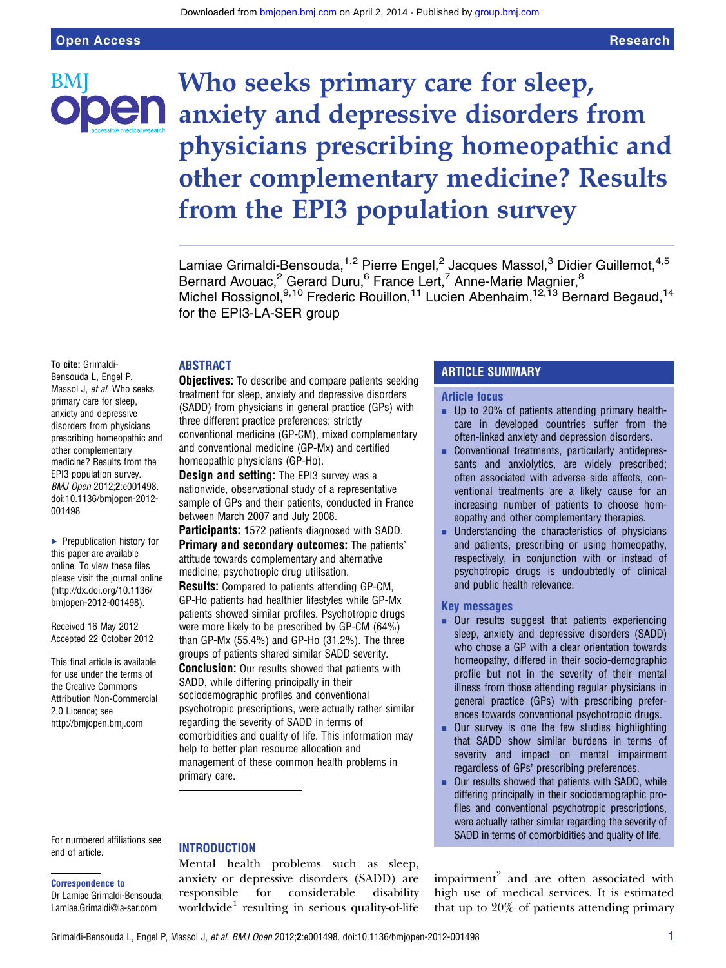# Who seeks primary care for sleep, **en** anxiety and depressive disorders from physicians prescribing homeopathic and other complementary medicine? Results from the EPI3 population survey

Lamiae Grimaldi-Bensouda,<sup>1,2</sup> Pierre Engel,<sup>2</sup> Jacques Massol,<sup>3</sup> Didier Guillemot,<sup>4,5</sup> Bernard Avouac,<sup>2</sup> Gerard Duru,<sup>6</sup> France Lert,<sup>7</sup> Anne-Marie Magnier,<sup>8</sup> Michel Rossignol,<sup>9,10</sup> Frederic Rouillon,<sup>11</sup> Lucien Abenhaim,<sup>12,13</sup> Bernard Begaud,<sup>14</sup> for the EPI3-LA-SER group

To cite: Grimaldi-Bensouda L, Engel P, Massol J, et al. Who seeks primary care for sleep, anxiety and depressive disorders from physicians prescribing homeopathic and other complementary medicine? Results from the EPI3 population survey. BMJ Open 2012;2:e001498. doi:10.1136/bmjopen-2012- 001498

▶ Prepublication history for this paper are available online. To view these files please visit the journal online [\(http://dx.doi.org/10.1136/](http://dx.doi.org/10.1136/bmjopen-2012-001498) [bmjopen-2012-001498](http://dx.doi.org/10.1136/bmjopen-2012-001498)).

Received 16 May 2012 Accepted 22 October 2012

This final article is available for use under the terms of the Creative Commons Attribution Non-Commercial 2.0 Licence; see <http://bmjopen.bmj.com>

**Objectives:** To describe and compare patients seeking treatment for sleep, anxiety and depressive disorders (SADD) from physicians in general practice (GPs) with three different practice preferences: strictly conventional medicine (GP-CM), mixed complementary and conventional medicine (GP-Mx) and certified homeopathic physicians (GP-Ho).

ABSTRACT

**Design and setting:** The EPI3 survey was a nationwide, observational study of a representative sample of GPs and their patients, conducted in France between March 2007 and July 2008.

Participants: 1572 patients diagnosed with SADD. Primary and secondary outcomes: The patients' attitude towards complementary and alternative medicine; psychotropic drug utilisation.

Results: Compared to patients attending GP-CM, GP-Ho patients had healthier lifestyles while GP-Mx patients showed similar profiles. Psychotropic drugs were more likely to be prescribed by GP-CM (64%) than GP-Mx (55.4%) and GP-Ho (31.2%). The three groups of patients shared similar SADD severity.

**Conclusion:** Our results showed that patients with SADD, while differing principally in their sociodemographic profiles and conventional psychotropic prescriptions, were actually rather similar regarding the severity of SADD in terms of comorbidities and quality of life. This information may help to better plan resource allocation and management of these common health problems in primary care.

# ARTICLE SUMMARY

#### Article focus

- **■** Up to 20% of patients attending primary healthcare in developed countries suffer from the often-linked anxiety and depression disorders.
- Conventional treatments, particularly antidepressants and anxiolytics, are widely prescribed; often associated with adverse side effects, conventional treatments are a likely cause for an increasing number of patients to choose homeopathy and other complementary therapies.
- **Understanding the characteristics of physicians** and patients, prescribing or using homeopathy, respectively, in conjunction with or instead of psychotropic drugs is undoubtedly of clinical and public health relevance.

#### Key messages

- **Our results suggest that patients experiencing** sleep, anxiety and depressive disorders (SADD) who chose a GP with a clear orientation towards homeopathy, differed in their socio-demographic profile but not in the severity of their mental illness from those attending regular physicians in general practice (GPs) with prescribing preferences towards conventional psychotropic drugs.
- Our survey is one the few studies highlighting that SADD show similar burdens in terms of severity and impact on mental impairment regardless of GPs' prescribing preferences.
- Our results showed that patients with SADD, while differing principally in their sociodemographic profiles and conventional psychotropic prescriptions, were actually rather similar regarding the severity of SADD in terms of comorbidities and quality of life.

For numbered affiliations see end of article.

Correspondence to

Dr Lamiae Grimaldi-Bensouda; Lamiae.Grimaldi@la-ser.com

#### **INTRODUCTION**

Mental health problems such as sleep, anxiety or depressive disorders (SADD) are responsible for considerable disability worldwide<sup>1</sup> resulting in serious quality-of-life

impairment<sup>2</sup> and are often associated with high use of medical services. It is estimated that up to 20% of patients attending primary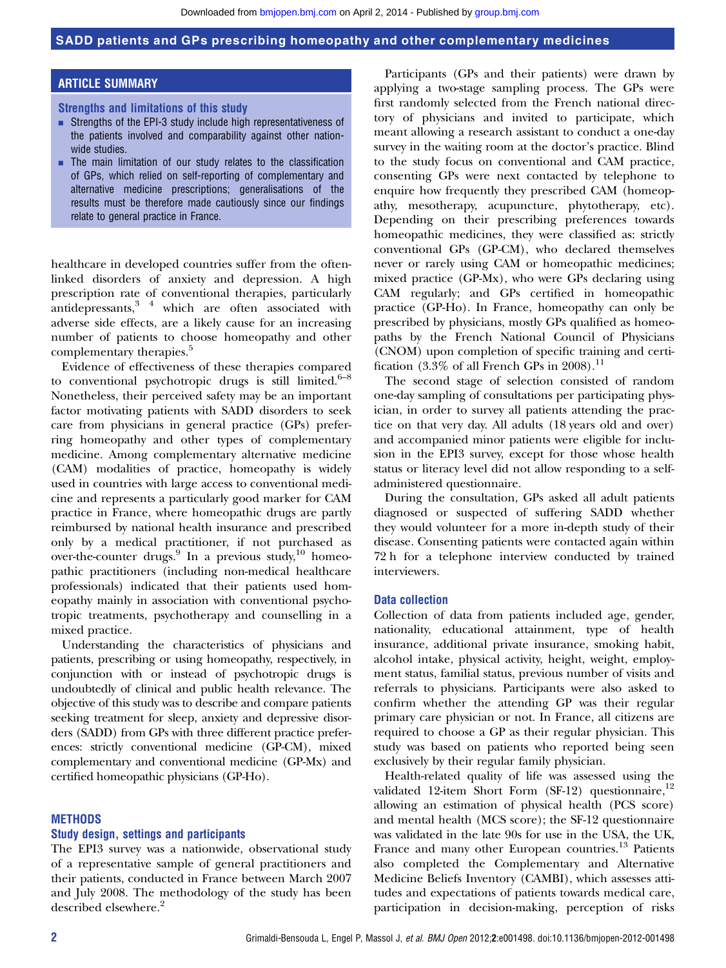# ARTICLE SUMMARY

Strengths and limitations of this study

- **EXTENDING** Strengths of the EPI-3 study include high representativeness of the patients involved and comparability against other nationwide studies.
- $\blacksquare$  The main limitation of our study relates to the classification of GPs, which relied on self-reporting of complementary and alternative medicine prescriptions; generalisations of the results must be therefore made cautiously since our findings relate to general practice in France.

healthcare in developed countries suffer from the oftenlinked disorders of anxiety and depression. A high prescription rate of conventional therapies, particularly antidepressants, $3 + 4$  which are often associated with adverse side effects, are a likely cause for an increasing number of patients to choose homeopathy and other complementary therapies.<sup>5</sup>

Evidence of effectiveness of these therapies compared to conventional psychotropic drugs is still limited. $6-8$ Nonetheless, their perceived safety may be an important factor motivating patients with SADD disorders to seek care from physicians in general practice (GPs) preferring homeopathy and other types of complementary medicine. Among complementary alternative medicine (CAM) modalities of practice, homeopathy is widely used in countries with large access to conventional medicine and represents a particularly good marker for CAM practice in France, where homeopathic drugs are partly reimbursed by national health insurance and prescribed only by a medical practitioner, if not purchased as over-the-counter drugs. $9 \text{ In a previous study}$ , homeopathic practitioners (including non-medical healthcare professionals) indicated that their patients used homeopathy mainly in association with conventional psychotropic treatments, psychotherapy and counselling in a mixed practice.

Understanding the characteristics of physicians and patients, prescribing or using homeopathy, respectively, in conjunction with or instead of psychotropic drugs is undoubtedly of clinical and public health relevance. The objective of this study was to describe and compare patients seeking treatment for sleep, anxiety and depressive disorders (SADD) from GPs with three different practice preferences: strictly conventional medicine (GP-CM), mixed complementary and conventional medicine (GP-Mx) and certified homeopathic physicians (GP-Ho).

#### **METHODS**

#### Study design, settings and participants

The EPI3 survey was a nationwide, observational study of a representative sample of general practitioners and their patients, conducted in France between March 2007 and July 2008. The methodology of the study has been described elsewhere.<sup>2</sup>

Participants (GPs and their patients) were drawn by applying a two-stage sampling process. The GPs were first randomly selected from the French national directory of physicians and invited to participate, which meant allowing a research assistant to conduct a one-day survey in the waiting room at the doctor's practice. Blind to the study focus on conventional and CAM practice, consenting GPs were next contacted by telephone to enquire how frequently they prescribed CAM (homeopathy, mesotherapy, acupuncture, phytotherapy, etc). Depending on their prescribing preferences towards homeopathic medicines, they were classified as: strictly conventional GPs (GP-CM), who declared themselves never or rarely using CAM or homeopathic medicines; mixed practice (GP-Mx), who were GPs declaring using CAM regularly; and GPs certified in homeopathic practice (GP-Ho). In France, homeopathy can only be prescribed by physicians, mostly GPs qualified as homeopaths by the French National Council of Physicians (CNOM) upon completion of specific training and certification  $(3.3\%$  of all French GPs in 2008).<sup>11</sup>

The second stage of selection consisted of random one-day sampling of consultations per participating physician, in order to survey all patients attending the practice on that very day. All adults (18 years old and over) and accompanied minor patients were eligible for inclusion in the EPI3 survey, except for those whose health status or literacy level did not allow responding to a selfadministered questionnaire.

During the consultation, GPs asked all adult patients diagnosed or suspected of suffering SADD whether they would volunteer for a more in-depth study of their disease. Consenting patients were contacted again within 72 h for a telephone interview conducted by trained interviewers.

#### Data collection

Collection of data from patients included age, gender, nationality, educational attainment, type of health insurance, additional private insurance, smoking habit, alcohol intake, physical activity, height, weight, employment status, familial status, previous number of visits and referrals to physicians. Participants were also asked to confirm whether the attending GP was their regular primary care physician or not. In France, all citizens are required to choose a GP as their regular physician. This study was based on patients who reported being seen exclusively by their regular family physician.

Health-related quality of life was assessed using the validated 12-item Short Form (SF-12) questionnaire,<sup>12</sup> allowing an estimation of physical health (PCS score) and mental health (MCS score); the SF-12 questionnaire was validated in the late 90s for use in the USA, the UK, France and many other European countries.<sup>13</sup> Patients also completed the Complementary and Alternative Medicine Beliefs Inventory (CAMBI), which assesses attitudes and expectations of patients towards medical care, participation in decision-making, perception of risks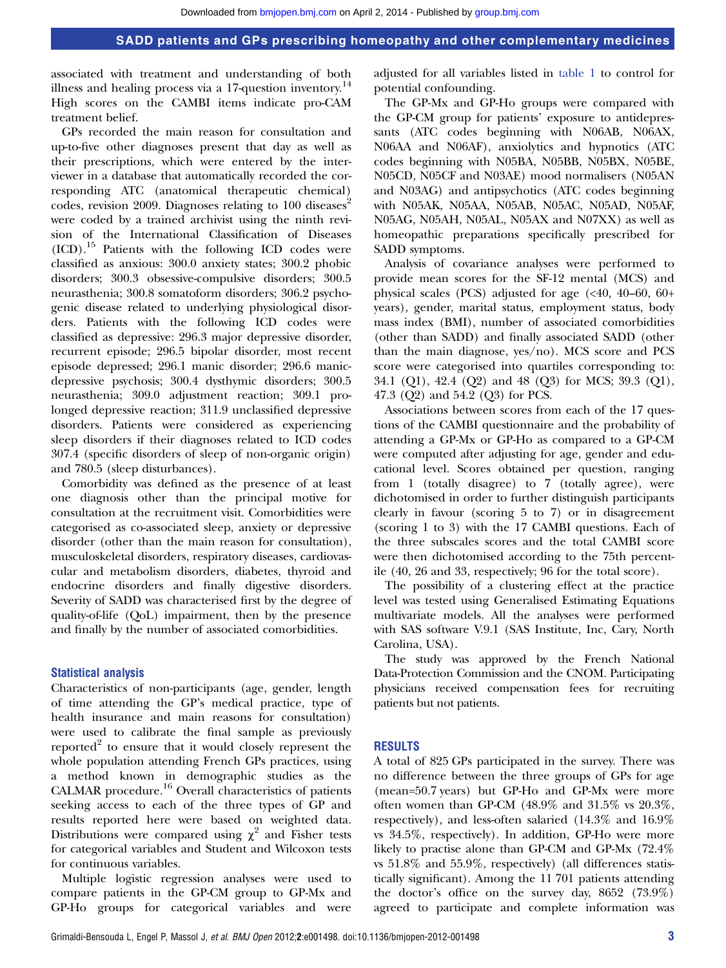associated with treatment and understanding of both illness and healing process via a 17-question inventory.<sup>14</sup> High scores on the CAMBI items indicate pro-CAM treatment belief.

GPs recorded the main reason for consultation and up-to-five other diagnoses present that day as well as their prescriptions, which were entered by the interviewer in a database that automatically recorded the corresponding ATC (anatomical therapeutic chemical) codes, revision 2009. Diagnoses relating to 100 diseases<sup>2</sup> were coded by a trained archivist using the ninth revision of the International Classification of Diseases (ICD).<sup>15</sup> Patients with the following ICD codes were classified as anxious: 300.0 anxiety states; 300.2 phobic disorders; 300.3 obsessive-compulsive disorders; 300.5 neurasthenia; 300.8 somatoform disorders; 306.2 psychogenic disease related to underlying physiological disorders. Patients with the following ICD codes were classified as depressive: 296.3 major depressive disorder, recurrent episode; 296.5 bipolar disorder, most recent episode depressed; 296.1 manic disorder; 296.6 manicdepressive psychosis; 300.4 dysthymic disorders; 300.5 neurasthenia; 309.0 adjustment reaction; 309.1 prolonged depressive reaction; 311.9 unclassified depressive disorders. Patients were considered as experiencing sleep disorders if their diagnoses related to ICD codes 307.4 (specific disorders of sleep of non-organic origin) and 780.5 (sleep disturbances).

Comorbidity was defined as the presence of at least one diagnosis other than the principal motive for consultation at the recruitment visit. Comorbidities were categorised as co-associated sleep, anxiety or depressive disorder (other than the main reason for consultation), musculoskeletal disorders, respiratory diseases, cardiovascular and metabolism disorders, diabetes, thyroid and endocrine disorders and finally digestive disorders. Severity of SADD was characterised first by the degree of quality-of-life (QoL) impairment, then by the presence and finally by the number of associated comorbidities.

#### Statistical analysis

Characteristics of non-participants (age, gender, length of time attending the GP's medical practice, type of health insurance and main reasons for consultation) were used to calibrate the final sample as previously reported<sup>2</sup> to ensure that it would closely represent the whole population attending French GPs practices, using a method known in demographic studies as the CALMAR procedure.16 Overall characteristics of patients seeking access to each of the three types of GP and results reported here were based on weighted data. Distributions were compared using  $\chi^2$  and Fisher tests for categorical variables and Student and Wilcoxon tests for continuous variables.

Multiple logistic regression analyses were used to compare patients in the GP-CM group to GP-Mx and GP-Ho groups for categorical variables and were

adjusted for all variables listed in table 1 to control for potential confounding.

The GP-Mx and GP-Ho groups were compared with the GP-CM group for patients' exposure to antidepressants (ATC codes beginning with N06AB, N06AX, N06AA and N06AF), anxiolytics and hypnotics (ATC codes beginning with N05BA, N05BB, N05BX, N05BE, N05CD, N05CF and N03AE) mood normalisers (N05AN and N03AG) and antipsychotics (ATC codes beginning with N05AK, N05AA, N05AB, N05AC, N05AD, N05AF, N05AG, N05AH, N05AL, N05AX and N07XX) as well as homeopathic preparations specifically prescribed for SADD symptoms.

Analysis of covariance analyses were performed to provide mean scores for the SF-12 mental (MCS) and physical scales (PCS) adjusted for age  $( $40, 40-60, 60+$$ years), gender, marital status, employment status, body mass index (BMI), number of associated comorbidities (other than SADD) and finally associated SADD (other than the main diagnose, yes/no). MCS score and PCS score were categorised into quartiles corresponding to: 34.1 (Q1), 42.4 (Q2) and 48 (Q3) for MCS; 39.3 (Q1), 47.3 (Q2) and 54.2 (Q3) for PCS.

Associations between scores from each of the 17 questions of the CAMBI questionnaire and the probability of attending a GP-Mx or GP-Ho as compared to a GP-CM were computed after adjusting for age, gender and educational level. Scores obtained per question, ranging from 1 (totally disagree) to 7 (totally agree), were dichotomised in order to further distinguish participants clearly in favour (scoring 5 to 7) or in disagreement (scoring 1 to 3) with the 17 CAMBI questions. Each of the three subscales scores and the total CAMBI score were then dichotomised according to the 75th percentile (40, 26 and 33, respectively; 96 for the total score).

The possibility of a clustering effect at the practice level was tested using Generalised Estimating Equations multivariate models. All the analyses were performed with SAS software V.9.1 (SAS Institute, Inc, Cary, North Carolina, USA).

The study was approved by the French National Data-Protection Commission and the CNOM. Participating physicians received compensation fees for recruiting patients but not patients.

#### RESULTS

A total of 825 GPs participated in the survey. There was no difference between the three groups of GPs for age (mean=50.7 years) but GP-Ho and GP-Mx were more often women than GP-CM (48.9% and 31.5% vs 20.3%, respectively), and less-often salaried (14.3% and 16.9% vs 34.5%, respectively). In addition, GP-Ho were more likely to practise alone than GP-CM and GP-Mx (72.4% vs 51.8% and 55.9%, respectively) (all differences statistically significant). Among the 11 701 patients attending the doctor's office on the survey day, 8652 (73.9%) agreed to participate and complete information was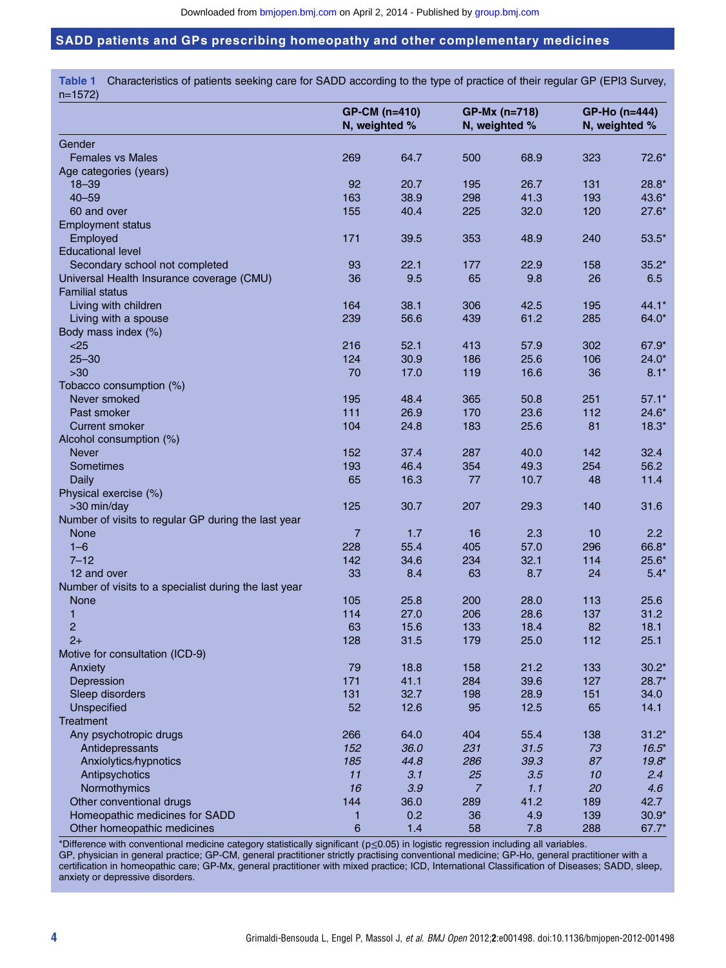Table 1 Characteristics of patients seeking care for SADD according to the type of practice of their regular GP (EPI3 Survey, n=1572)

|                                                       | GP-CM (n=410)<br>N, weighted % |      | GP-Mx (n=718)<br>N, weighted % |      | GP-Ho (n=444)<br>N, weighted % |          |
|-------------------------------------------------------|--------------------------------|------|--------------------------------|------|--------------------------------|----------|
| Gender                                                |                                |      |                                |      |                                |          |
| <b>Females vs Males</b>                               | 269                            | 64.7 | 500                            | 68.9 | 323                            | $72.6*$  |
| Age categories (years)                                |                                |      |                                |      |                                |          |
| $18 - 39$                                             | 92                             | 20.7 | 195                            | 26.7 | 131                            | $28.8*$  |
| $40 - 59$                                             | 163                            | 38.9 | 298                            | 41.3 | 193                            | 43.6*    |
| 60 and over                                           | 155                            | 40.4 | 225                            | 32.0 | 120                            | $27.6*$  |
| <b>Employment status</b>                              |                                |      |                                |      |                                |          |
| Employed                                              | 171                            | 39.5 | 353                            | 48.9 | 240                            | $53.5*$  |
| <b>Educational level</b>                              |                                |      |                                |      |                                |          |
| Secondary school not completed                        | 93                             | 22.1 | 177                            | 22.9 | 158                            | $35.2*$  |
| Universal Health Insurance coverage (CMU)             | 36                             | 9.5  | 65                             | 9.8  | 26                             | 6.5      |
| <b>Familial status</b>                                |                                |      |                                |      |                                |          |
| Living with children                                  | 164                            | 38.1 | 306                            | 42.5 | 195                            | $44.1*$  |
| Living with a spouse                                  | 239                            | 56.6 | 439                            | 61.2 | 285                            | $64.0*$  |
| Body mass index (%)                                   |                                |      |                                |      |                                |          |
| < 25                                                  | 216                            | 52.1 | 413                            | 57.9 | 302                            | 67.9*    |
| $25 - 30$                                             | 124                            | 30.9 | 186                            | 25.6 | 106                            | $24.0*$  |
| $>30$                                                 | 70                             | 17.0 | 119                            | 16.6 | 36                             | $8.1*$   |
| Tobacco consumption (%)                               |                                |      |                                |      |                                |          |
| Never smoked                                          | 195                            | 48.4 | 365                            | 50.8 | 251                            | $57.1*$  |
| Past smoker                                           | 111                            | 26.9 | 170                            | 23.6 | 112                            | $24.6*$  |
| <b>Current smoker</b>                                 | 104                            | 24.8 | 183                            | 25.6 | 81                             | $18.3*$  |
| Alcohol consumption (%)                               |                                |      |                                |      |                                |          |
| <b>Never</b>                                          | 152                            | 37.4 | 287                            | 40.0 | 142                            | 32.4     |
| Sometimes                                             | 193                            | 46.4 | 354                            | 49.3 | 254                            | 56.2     |
| Daily                                                 | 65                             | 16.3 | 77                             | 10.7 | 48                             | 11.4     |
| Physical exercise (%)                                 |                                |      |                                |      |                                |          |
| >30 min/day                                           | 125                            | 30.7 | 207                            | 29.3 | 140                            | 31.6     |
| Number of visits to regular GP during the last year   |                                |      |                                |      |                                |          |
| None                                                  | $\overline{7}$                 | 1.7  | 16                             | 2.3  | 10                             | 2.2      |
| $1 - 6$                                               | 228                            | 55.4 | 405                            | 57.0 | 296                            | 66.8*    |
| $7 - 12$                                              | 142                            | 34.6 | 234                            | 32.1 | 114                            | $25.6*$  |
| 12 and over                                           | 33                             | 8.4  | 63                             | 8.7  | 24                             | $5.4*$   |
| Number of visits to a specialist during the last year |                                |      |                                |      |                                |          |
| None                                                  | 105                            | 25.8 | 200                            | 28.0 | 113                            | 25.6     |
| 1                                                     | 114                            | 27.0 | 206                            | 28.6 | 137                            | 31.2     |
| $\overline{c}$                                        | 63                             | 15.6 | 133                            | 18.4 | 82                             | 18.1     |
| $2+$                                                  | 128                            | 31.5 | 179                            | 25.0 | 112                            | 25.1     |
| Motive for consultation (ICD-9)                       |                                |      |                                |      |                                |          |
| Anxiety                                               | 79                             | 18.8 | 158                            | 21.2 | 133                            | $30.2*$  |
| Depression                                            | 171                            | 41.1 | 284                            | 39.6 | 127                            | $28.7*$  |
| Sleep disorders                                       | 131                            | 32.7 | 198                            | 28.9 | 151                            | 34.0     |
| Unspecified                                           | 52                             | 12.6 | 95                             | 12.5 | 65                             | 14.1     |
| <b>Treatment</b>                                      |                                |      |                                |      |                                |          |
| Any psychotropic drugs                                | 266                            | 64.0 | 404                            | 55.4 | 138                            | $31.2*$  |
| Antidepressants                                       | 152                            | 36.0 | 231                            | 31.5 | 73                             | $16.5^*$ |
| Anxiolytics/hypnotics                                 | 185                            | 44.8 | 286                            | 39.3 | 87                             | $19.8*$  |
| Antipsychotics                                        | 11                             | 3.1  | 25                             | 3.5  | 10                             | 2.4      |
| Normothymics                                          | 16                             | 3.9  | $\overline{7}$                 | 1.1  | 20                             | 4.6      |
| Other conventional drugs                              | 144                            | 36.0 | 289                            | 41.2 | 189                            | 42.7     |
| Homeopathic medicines for SADD                        | 1                              | 0.2  | 36                             | 4.9  | 139                            | $30.9*$  |
| Other homeopathic medicines                           | 6                              | 1.4  | 58                             | 7.8  | 288                            | 67.7*    |

\*Difference with conventional medicine category statistically significant (p≤0.05) in logistic regression including all variables.

GP, physician in general practice; GP-CM, general practitioner strictly practising conventional medicine; GP-Ho, general practitioner with a certification in homeopathic care; GP-Mx, general practitioner with mixed practice; ICD, International Classification of Diseases; SADD, sleep, anxiety or depressive disorders.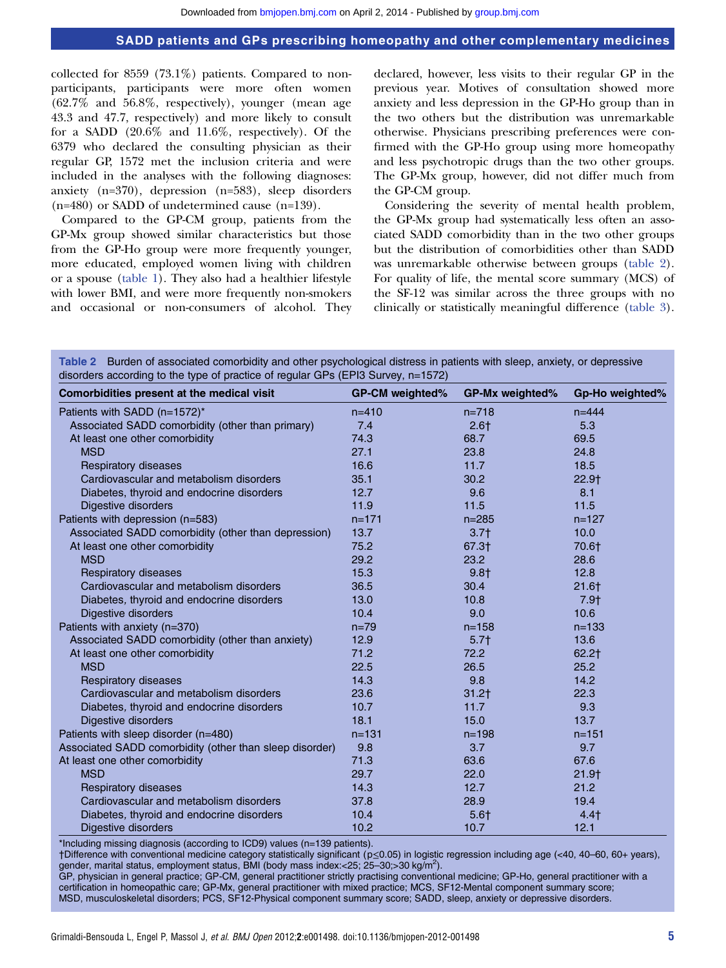collected for 8559 (73.1%) patients. Compared to nonparticipants, participants were more often women (62.7% and 56.8%, respectively), younger (mean age 43.3 and 47.7, respectively) and more likely to consult for a SADD  $(20.6\%$  and  $11.6\%$ , respectively). Of the 6379 who declared the consulting physician as their regular GP, 1572 met the inclusion criteria and were included in the analyses with the following diagnoses: anxiety (n=370), depression (n=583), sleep disorders (n=480) or SADD of undetermined cause (n=139).

Compared to the GP-CM group, patients from the GP-Mx group showed similar characteristics but those from the GP-Ho group were more frequently younger, more educated, employed women living with children or a spouse (table 1). They also had a healthier lifestyle with lower BMI, and were more frequently non-smokers and occasional or non-consumers of alcohol. They

declared, however, less visits to their regular GP in the previous year. Motives of consultation showed more anxiety and less depression in the GP-Ho group than in the two others but the distribution was unremarkable otherwise. Physicians prescribing preferences were confirmed with the GP-Ho group using more homeopathy and less psychotropic drugs than the two other groups. The GP-Mx group, however, did not differ much from the GP-CM group.

Considering the severity of mental health problem, the GP-Mx group had systematically less often an associated SADD comorbidity than in the two other groups but the distribution of comorbidities other than SADD was unremarkable otherwise between groups (table 2). For quality of life, the mental score summary (MCS) of the SF-12 was similar across the three groups with no clinically or statistically meaningful difference (table 3).

Table 2 Burden of associated comorbidity and other psychological distress in patients with sleep, anxiety, or depressive disorders according to the type of practice of regular GPs (EPI3 Survey, n=1572)

| Comorbidities present at the medical visit              | <b>GP-CM weighted%</b> | <b>GP-Mx weighted%</b> | Gp-Ho weighted% |
|---------------------------------------------------------|------------------------|------------------------|-----------------|
| Patients with SADD (n=1572)*                            | $n = 410$              | $n = 718$              | $n = 444$       |
| Associated SADD comorbidity (other than primary)        | 7.4                    | $2.6+$                 | 5.3             |
| At least one other comorbidity                          | 74.3                   | 68.7                   | 69.5            |
| <b>MSD</b>                                              | 27.1                   | 23.8                   | 24.8            |
| Respiratory diseases                                    | 16.6                   | 11.7                   | 18.5            |
| Cardiovascular and metabolism disorders                 | 35.1                   | 30.2                   | $22.9+$         |
| Diabetes, thyroid and endocrine disorders               | 12.7                   | 9.6                    | 8.1             |
| Digestive disorders                                     | 11.9                   | 11.5                   | 11.5            |
| Patients with depression (n=583)                        | $n = 171$              | $n = 285$              | $n = 127$       |
| Associated SADD comorbidity (other than depression)     | 13.7                   | $3.7+$                 | 10.0            |
| At least one other comorbidity                          | 75.2                   | 67.3†                  | 70.6†           |
| <b>MSD</b>                                              | 29.2                   | 23.2                   | 28.6            |
| <b>Respiratory diseases</b>                             | 15.3                   | $9.8+$                 | 12.8            |
| Cardiovascular and metabolism disorders                 | 36.5                   | 30.4                   | 21.6†           |
| Diabetes, thyroid and endocrine disorders               | 13.0                   | 10.8                   | $7.9+$          |
| Digestive disorders                                     | 10.4                   | 9.0                    | 10.6            |
| Patients with anxiety (n=370)                           | $n = 79$               | $n = 158$              | $n = 133$       |
| Associated SADD comorbidity (other than anxiety)        | 12.9                   | $5.7+$                 | 13.6            |
| At least one other comorbidity                          | 71.2                   | 72.2                   | $62.2$ †        |
| <b>MSD</b>                                              | 22.5                   | 26.5                   | 25.2            |
| Respiratory diseases                                    | 14.3                   | 9.8                    | 14.2            |
| Cardiovascular and metabolism disorders                 | 23.6                   | $31.2+$                | 22.3            |
| Diabetes, thyroid and endocrine disorders               | 10.7                   | 11.7                   | 9.3             |
| Digestive disorders                                     | 18.1                   | 15.0                   | 13.7            |
| Patients with sleep disorder (n=480)                    | $n = 131$              | $n = 198$              | $n = 151$       |
| Associated SADD comorbidity (other than sleep disorder) | 9.8                    | 3.7                    | 9.7             |
| At least one other comorbidity                          | 71.3                   | 63.6                   | 67.6            |
| <b>MSD</b>                                              | 29.7                   | 22.0                   | $21.9+$         |
| <b>Respiratory diseases</b>                             | 14.3                   | 12.7                   | 21.2            |
| Cardiovascular and metabolism disorders                 | 37.8                   | 28.9                   | 19.4            |
| Diabetes, thyroid and endocrine disorders               | 10.4                   | $5.6+$                 | $4.4+$          |
| Digestive disorders                                     | 10.2                   | 10.7                   | 12.1            |

\*Including missing diagnosis (according to ICD9) values (n=139 patients).

†Difference with conventional medicine category statistically significant (p≤0.05) in logistic regression including age (<40, 40–60, 60+ years), gender, marital status, employment status, BMI (body mass index:<25; 25–30;>30 kg/m2 ).

GP, physician in general practice; GP-CM, general practitioner strictly practising conventional medicine; GP-Ho, general practitioner with a certification in homeopathic care; GP-Mx, general practitioner with mixed practice; MCS, SF12-Mental component summary score; MSD, musculoskeletal disorders; PCS, SF12-Physical component summary score; SADD, sleep, anxiety or depressive disorders.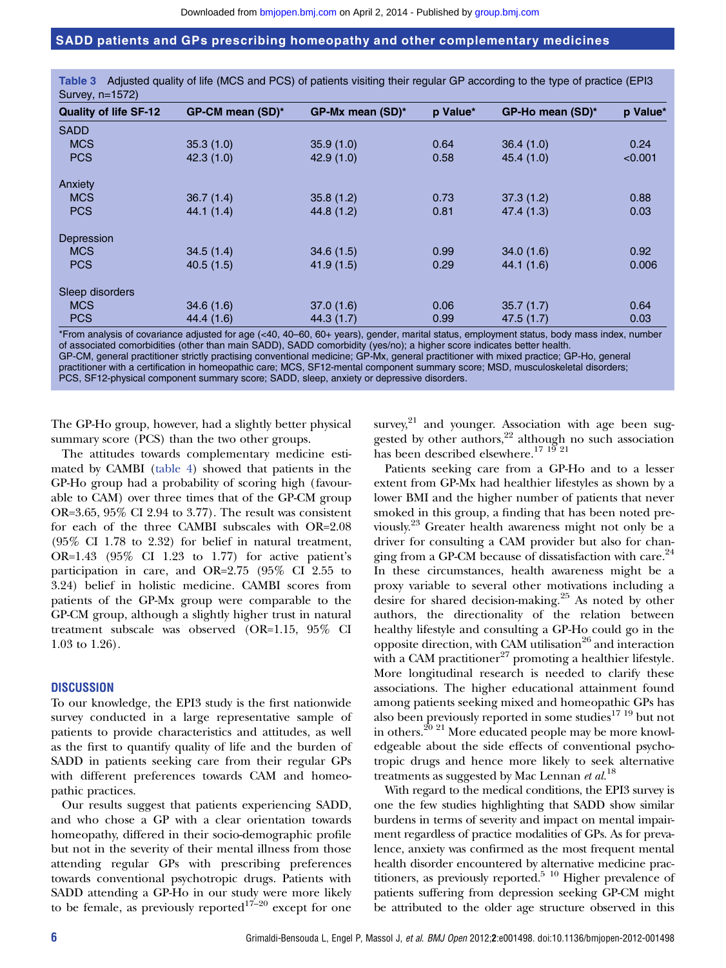| <b>Quality of life SF-12</b> | GP-CM mean (SD)* | GP-Mx mean (SD)* | p Value* | GP-Ho mean (SD)* | p Value* |
|------------------------------|------------------|------------------|----------|------------------|----------|
| <b>SADD</b>                  |                  |                  |          |                  |          |
| <b>MCS</b>                   | 35.3(1.0)        | 35.9(1.0)        | 0.64     | 36.4(1.0)        | 0.24     |
| <b>PCS</b>                   | 42.3(1.0)        | 42.9(1.0)        | 0.58     | 45.4(1.0)        | < 0.001  |
| Anxiety                      |                  |                  |          |                  |          |
| <b>MCS</b>                   | 36.7(1.4)        | 35.8(1.2)        | 0.73     | 37.3(1.2)        | 0.88     |
| <b>PCS</b>                   | 44.1 (1.4)       | 44.8(1.2)        | 0.81     | 47.4 (1.3)       | 0.03     |
| Depression                   |                  |                  |          |                  |          |
| <b>MCS</b>                   | 34.5(1.4)        | 34.6(1.5)        | 0.99     | 34.0(1.6)        | 0.92     |
| <b>PCS</b>                   | 40.5(1.5)        | 41.9(1.5)        | 0.29     | 44.1 (1.6)       | 0.006    |
| Sleep disorders              |                  |                  |          |                  |          |
| <b>MCS</b>                   | 34.6(1.6)        | 37.0(1.6)        | 0.06     | 35.7(1.7)        | 0.64     |
| <b>PCS</b>                   | 44.4(1.6)        | 44.3(1.7)        | 0.99     | 47.5(1.7)        | 0.03     |

Table 3 Adjusted quality of life (MCS and PCS) of patients visiting their regular GP according to the type of practice (EPI3  $S$ urvey, n=1572)

\*From analysis of covariance adjusted for age (<40, 40–60, 60+ years), gender, marital status, employment status, body mass index, number of associated comorbidities (other than main SADD), SADD comorbidity (yes/no); a higher score indicates better health. GP-CM, general practitioner strictly practising conventional medicine; GP-Mx, general practitioner with mixed practice; GP-Ho, general practitioner with a certification in homeopathic care; MCS, SF12-mental component summary score; MSD, musculoskeletal disorders; PCS, SF12-physical component summary score; SADD, sleep, anxiety or depressive disorders.

The GP-Ho group, however, had a slightly better physical summary score (PCS) than the two other groups.

The attitudes towards complementary medicine estimated by CAMBI (table 4) showed that patients in the GP-Ho group had a probability of scoring high (favourable to CAM) over three times that of the GP-CM group OR=3.65, 95% CI 2.94 to 3.77). The result was consistent for each of the three CAMBI subscales with OR=2.08 (95% CI 1.78 to 2.32) for belief in natural treatment, OR=1.43 (95% CI 1.23 to 1.77) for active patient's participation in care, and OR=2.75 (95% CI 2.55 to 3.24) belief in holistic medicine. CAMBI scores from patients of the GP-Mx group were comparable to the GP-CM group, although a slightly higher trust in natural treatment subscale was observed (OR=1.15, 95% CI 1.03 to 1.26).

#### **DISCUSSION**

To our knowledge, the EPI3 study is the first nationwide survey conducted in a large representative sample of patients to provide characteristics and attitudes, as well as the first to quantify quality of life and the burden of SADD in patients seeking care from their regular GPs with different preferences towards CAM and homeopathic practices.

Our results suggest that patients experiencing SADD, and who chose a GP with a clear orientation towards homeopathy, differed in their socio-demographic profile but not in the severity of their mental illness from those attending regular GPs with prescribing preferences towards conventional psychotropic drugs. Patients with SADD attending a GP-Ho in our study were more likely to be female, as previously reported $17-20$  except for one

survey, $21$  and younger. Association with age been suggested by other authors, $2^2$  although no such association has been described elsewhere.<sup>17 19 21</sup>

Patients seeking care from a GP-Ho and to a lesser extent from GP-Mx had healthier lifestyles as shown by a lower BMI and the higher number of patients that never smoked in this group, a finding that has been noted previously.23 Greater health awareness might not only be a driver for consulting a CAM provider but also for changing from a GP-CM because of dissatisfaction with care.<sup>24</sup> In these circumstances, health awareness might be a proxy variable to several other motivations including a desire for shared decision-making.<sup>25</sup> As noted by other authors, the directionality of the relation between healthy lifestyle and consulting a GP-Ho could go in the opposite direction, with CAM utilisation $^{26}$  and interaction with a CAM practitioner<sup>27</sup> promoting a healthier lifestyle. More longitudinal research is needed to clarify these associations. The higher educational attainment found among patients seeking mixed and homeopathic GPs has also been previously reported in some studies<sup>17 19</sup> but not in others.<sup>20 21</sup> More educated people may be more knowledgeable about the side effects of conventional psychotropic drugs and hence more likely to seek alternative treatments as suggested by Mac Lennan et  $al$ .<sup>18</sup>

With regard to the medical conditions, the EPI3 survey is one the few studies highlighting that SADD show similar burdens in terms of severity and impact on mental impairment regardless of practice modalities of GPs. As for prevalence, anxiety was confirmed as the most frequent mental health disorder encountered by alternative medicine practitioners, as previously reported.<sup>5 10</sup> Higher prevalence of patients suffering from depression seeking GP-CM might be attributed to the older age structure observed in this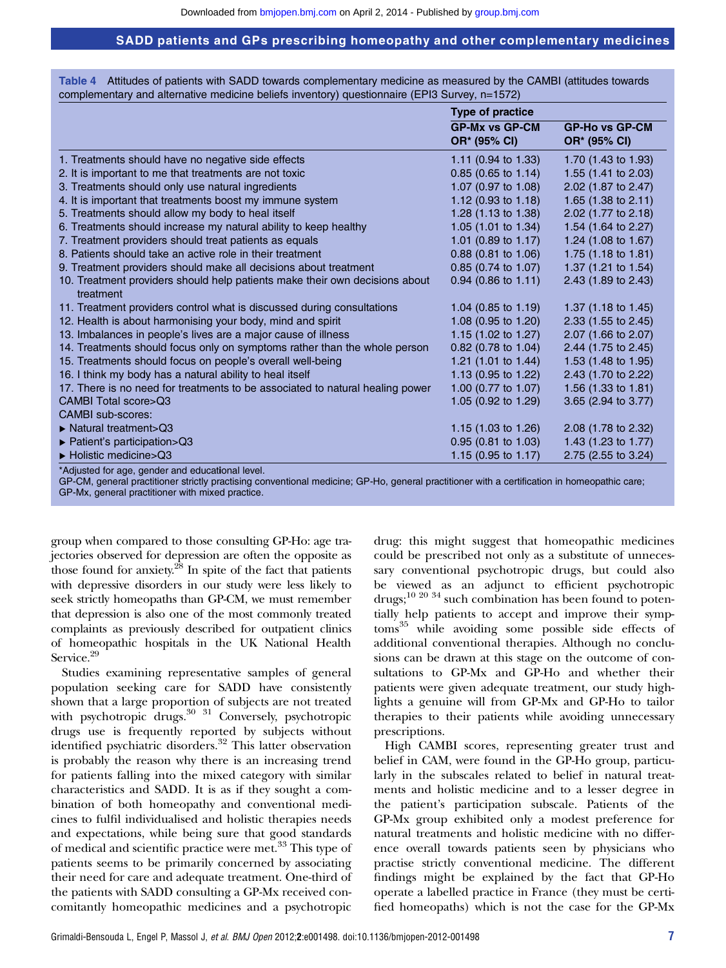Table 4 Attitudes of patients with SADD towards complementary medicine as measured by the CAMBI (attitudes towards complementary and alternative medicine beliefs inventory) questionnaire (EPI3 Survey, n=1572)

|                                                                               | <b>Type of practice</b>        |                                |
|-------------------------------------------------------------------------------|--------------------------------|--------------------------------|
|                                                                               | <b>GP-Mx vs GP-CM</b>          | <b>GP-Ho vs GP-CM</b>          |
|                                                                               | OR* (95% CI)                   | OR* (95% CI)                   |
| 1. Treatments should have no negative side effects                            | 1.11 (0.94 to 1.33)            | 1.70 $(1.43 \text{ to } 1.93)$ |
| 2. It is important to me that treatments are not toxic                        | $0.85$ (0.65 to 1.14)          | 1.55 (1.41 to 2.03)            |
| 3. Treatments should only use natural ingredients                             | 1.07 (0.97 to 1.08)            | 2.02 (1.87 to 2.47)            |
| 4. It is important that treatments boost my immune system                     | 1.12 $(0.93 \text{ to } 1.18)$ | 1.65 $(1.38 \text{ to } 2.11)$ |
| 5. Treatments should allow my body to heal itself                             | 1.28 (1.13 to 1.38)            | 2.02 (1.77 to 2.18)            |
| 6. Treatments should increase my natural ability to keep healthy              | 1.05 $(1.01 \text{ to } 1.34)$ | 1.54 (1.64 to 2.27)            |
| 7. Treatment providers should treat patients as equals                        | 1.01 $(0.89 \text{ to } 1.17)$ | 1.24 (1.08 to 1.67)            |
| 8. Patients should take an active role in their treatment                     | $0.88$ (0.81 to 1.06)          | 1.75 (1.18 to 1.81)            |
| 9. Treatment providers should make all decisions about treatment              | $0.85$ (0.74 to 1.07)          | 1.37 (1.21 to 1.54)            |
| 10. Treatment providers should help patients make their own decisions about   | $0.94$ (0.86 to 1.11)          | 2.43 (1.89 to 2.43)            |
| treatment                                                                     |                                |                                |
| 11. Treatment providers control what is discussed during consultations        | 1.04 $(0.85 \text{ to } 1.19)$ | 1.37 $(1.18 \text{ to } 1.45)$ |
| 12. Health is about harmonising your body, mind and spirit                    | 1.08 (0.95 to 1.20)            | 2.33 (1.55 to 2.45)            |
| 13. Imbalances in people's lives are a major cause of illness                 | 1.15 (1.02 to 1.27)            | 2.07 (1.66 to 2.07)            |
| 14. Treatments should focus only on symptoms rather than the whole person     | $0.82$ (0.78 to 1.04)          | 2.44 (1.75 to 2.45)            |
| 15. Treatments should focus on people's overall well-being                    | 1.21 $(1.01 \text{ to } 1.44)$ | 1.53 (1.48 to 1.95)            |
| 16. I think my body has a natural ability to heal itself                      | 1.13 (0.95 to 1.22)            | 2.43 (1.70 to 2.22)            |
| 17. There is no need for treatments to be associated to natural healing power | 1.00 (0.77 to 1.07)            | 1.56 $(1.33 \text{ to } 1.81)$ |
| CAMBI Total score>Q3                                                          | 1.05 (0.92 to 1.29)            | 3.65 (2.94 to 3.77)            |
| <b>CAMBI</b> sub-scores:                                                      |                                |                                |
| $\triangleright$ Natural treatment>Q3                                         | 1.15 $(1.03 \text{ to } 1.26)$ | 2.08 (1.78 to 2.32)            |
| $\blacktriangleright$ Patient's participation $>Q3$                           | 0.95 (0.81 to 1.03)            | 1.43 (1.23 to 1.77)            |
| $\blacktriangleright$ Holistic medicine>Q3                                    | 1.15 $(0.95 \text{ to } 1.17)$ | 2.75 (2.55 to 3.24)            |

\*Adjusted for age, gender and educational level.

GP-CM, general practitioner strictly practising conventional medicine; GP-Ho, general practitioner with a certification in homeopathic care; GP-Mx, general practitioner with mixed practice.

group when compared to those consulting GP-Ho: age trajectories observed for depression are often the opposite as those found for anxiety. $^{28}$  In spite of the fact that patients with depressive disorders in our study were less likely to seek strictly homeopaths than GP-CM, we must remember that depression is also one of the most commonly treated complaints as previously described for outpatient clinics of homeopathic hospitals in the UK National Health Service.<sup>29</sup>

Studies examining representative samples of general population seeking care for SADD have consistently shown that a large proportion of subjects are not treated with psychotropic drugs.<sup>30</sup> <sup>31</sup> Conversely, psychotropic drugs use is frequently reported by subjects without identified psychiatric disorders.<sup>32</sup> This latter observation is probably the reason why there is an increasing trend for patients falling into the mixed category with similar characteristics and SADD. It is as if they sought a combination of both homeopathy and conventional medicines to fulfil individualised and holistic therapies needs and expectations, while being sure that good standards of medical and scientific practice were met.33 This type of patients seems to be primarily concerned by associating their need for care and adequate treatment. One-third of the patients with SADD consulting a GP-Mx received concomitantly homeopathic medicines and a psychotropic drug: this might suggest that homeopathic medicines could be prescribed not only as a substitute of unnecessary conventional psychotropic drugs, but could also be viewed as an adjunct to efficient psychotropic drugs;<sup>10 20 34</sup> such combination has been found to potentially help patients to accept and improve their symptoms<sup>35</sup> while avoiding some possible side effects of additional conventional therapies. Although no conclusions can be drawn at this stage on the outcome of consultations to GP-Mx and GP-Ho and whether their patients were given adequate treatment, our study highlights a genuine will from GP-Mx and GP-Ho to tailor therapies to their patients while avoiding unnecessary prescriptions.

High CAMBI scores, representing greater trust and belief in CAM, were found in the GP-Ho group, particularly in the subscales related to belief in natural treatments and holistic medicine and to a lesser degree in the patient's participation subscale. Patients of the GP-Mx group exhibited only a modest preference for natural treatments and holistic medicine with no difference overall towards patients seen by physicians who practise strictly conventional medicine. The different findings might be explained by the fact that GP-Ho operate a labelled practice in France (they must be certified homeopaths) which is not the case for the GP-Mx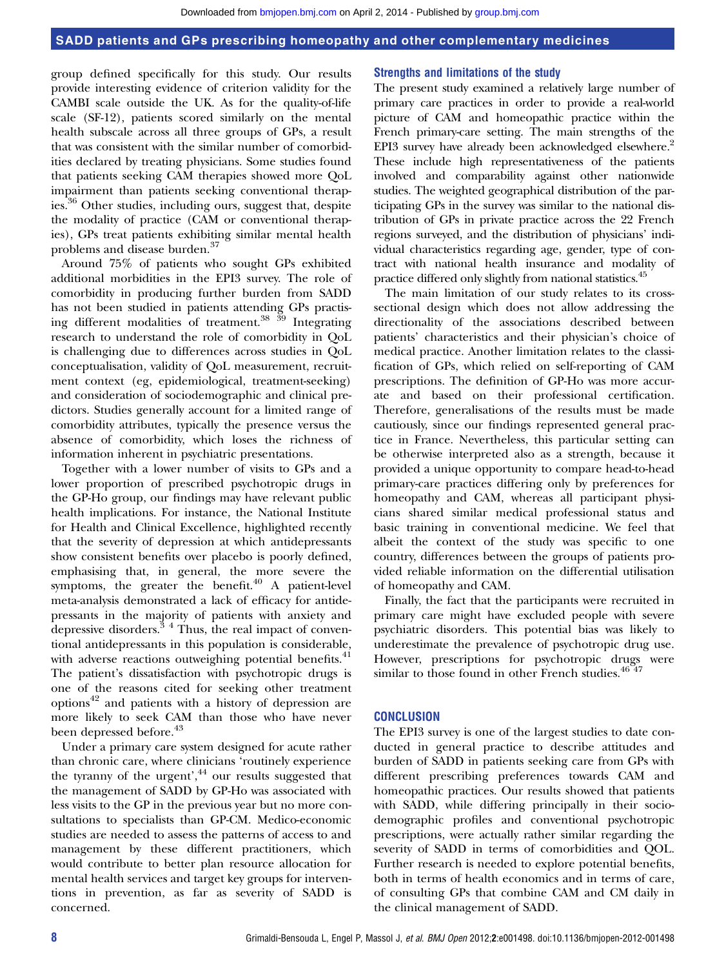group defined specifically for this study. Our results provide interesting evidence of criterion validity for the CAMBI scale outside the UK. As for the quality-of-life scale (SF-12), patients scored similarly on the mental health subscale across all three groups of GPs, a result that was consistent with the similar number of comorbidities declared by treating physicians. Some studies found that patients seeking CAM therapies showed more QoL impairment than patients seeking conventional therapies.36 Other studies, including ours, suggest that, despite the modality of practice (CAM or conventional therapies), GPs treat patients exhibiting similar mental health problems and disease burden.<sup>37</sup>

Around 75% of patients who sought GPs exhibited additional morbidities in the EPI3 survey. The role of comorbidity in producing further burden from SADD has not been studied in patients attending GPs practising different modalities of treatment.38 39 Integrating research to understand the role of comorbidity in QoL is challenging due to differences across studies in QoL conceptualisation, validity of QoL measurement, recruitment context (eg, epidemiological, treatment-seeking) and consideration of sociodemographic and clinical predictors. Studies generally account for a limited range of comorbidity attributes, typically the presence versus the absence of comorbidity, which loses the richness of information inherent in psychiatric presentations.

Together with a lower number of visits to GPs and a lower proportion of prescribed psychotropic drugs in the GP-Ho group, our findings may have relevant public health implications. For instance, the National Institute for Health and Clinical Excellence, highlighted recently that the severity of depression at which antidepressants show consistent benefits over placebo is poorly defined, emphasising that, in general, the more severe the symptoms, the greater the benefit. $40$  A patient-level meta-analysis demonstrated a lack of efficacy for antidepressants in the majority of patients with anxiety and depressive disorders. $3 \times 4$  Thus, the real impact of conventional antidepressants in this population is considerable, with adverse reactions outweighing potential benefits.<sup>41</sup> The patient's dissatisfaction with psychotropic drugs is one of the reasons cited for seeking other treatment options<sup>42</sup> and patients with a history of depression are more likely to seek CAM than those who have never been depressed before.<sup>43</sup>

Under a primary care system designed for acute rather than chronic care, where clinicians 'routinely experience the tyranny of the urgent',<sup>44</sup> our results suggested that the management of SADD by GP-Ho was associated with less visits to the GP in the previous year but no more consultations to specialists than GP-CM. Medico-economic studies are needed to assess the patterns of access to and management by these different practitioners, which would contribute to better plan resource allocation for mental health services and target key groups for interventions in prevention, as far as severity of SADD is concerned.

#### Strengths and limitations of the study

The present study examined a relatively large number of primary care practices in order to provide a real-world picture of CAM and homeopathic practice within the French primary-care setting. The main strengths of the EPI3 survey have already been acknowledged elsewhere.<sup>2</sup> These include high representativeness of the patients involved and comparability against other nationwide studies. The weighted geographical distribution of the participating GPs in the survey was similar to the national distribution of GPs in private practice across the 22 French regions surveyed, and the distribution of physicians' individual characteristics regarding age, gender, type of contract with national health insurance and modality of practice differed only slightly from national statistics.45

The main limitation of our study relates to its crosssectional design which does not allow addressing the directionality of the associations described between patients' characteristics and their physician's choice of medical practice. Another limitation relates to the classification of GPs, which relied on self-reporting of CAM prescriptions. The definition of GP-Ho was more accurate and based on their professional certification. Therefore, generalisations of the results must be made cautiously, since our findings represented general practice in France. Nevertheless, this particular setting can be otherwise interpreted also as a strength, because it provided a unique opportunity to compare head-to-head primary-care practices differing only by preferences for homeopathy and CAM, whereas all participant physicians shared similar medical professional status and basic training in conventional medicine. We feel that albeit the context of the study was specific to one country, differences between the groups of patients provided reliable information on the differential utilisation of homeopathy and CAM.

Finally, the fact that the participants were recruited in primary care might have excluded people with severe psychiatric disorders. This potential bias was likely to underestimate the prevalence of psychotropic drug use. However, prescriptions for psychotropic drugs were similar to those found in other French studies.  $46\frac{47}{47}$ 

#### **CONCLUSION**

The EPI3 survey is one of the largest studies to date conducted in general practice to describe attitudes and burden of SADD in patients seeking care from GPs with different prescribing preferences towards CAM and homeopathic practices. Our results showed that patients with SADD, while differing principally in their sociodemographic profiles and conventional psychotropic prescriptions, were actually rather similar regarding the severity of SADD in terms of comorbidities and QOL. Further research is needed to explore potential benefits, both in terms of health economics and in terms of care, of consulting GPs that combine CAM and CM daily in the clinical management of SADD.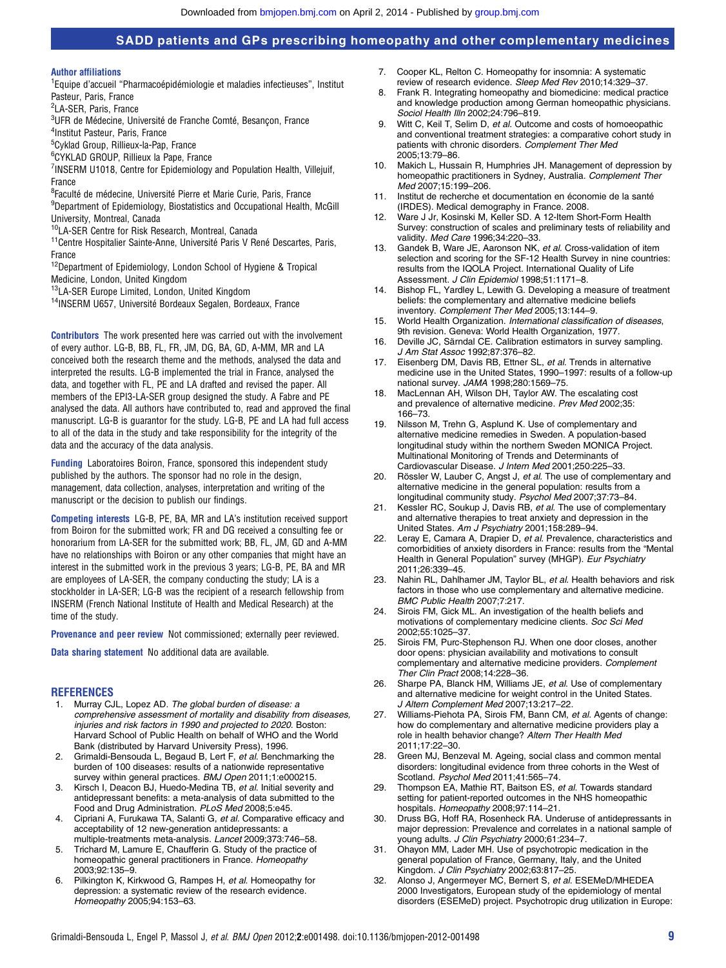#### Author affiliations

1 Equipe d'accueil "Pharmacoépidémiologie et maladies infectieuses", Institut Pasteur, Paris, France

<sup>2</sup>LA-SER, Paris, France

<sup>3</sup>UFR de Médecine, Université de Franche Comté, Besançon, France

4 Institut Pasteur, Paris, France

5 Cyklad Group, Rillieux-la-Pap, France

6 CYKLAD GROUP, Rillieux la Pape, France

<sup>7</sup>INSERM U1018, Centre for Epidemiology and Population Health, Villejuif, France

<sup>8</sup>Faculté de médecine, Université Pierre et Marie Curie, Paris, France <sup>9</sup>Department of Epidemiology, Biostatistics and Occupational Health, McGill University, Montreal, Canada

10LA-SER Centre for Risk Research, Montreal, Canada

<sup>11</sup>Centre Hospitalier Sainte-Anne, Université Paris V René Descartes, Paris, France

12Department of Epidemiology, London School of Hygiene & Tropical Medicine, London, United Kingdom

<sup>13</sup>LA-SER Europe Limited, London, United Kingdom

14INSERM U657, Université Bordeaux Segalen, Bordeaux, France

Contributors The work presented here was carried out with the involvement of every author. LG-B, BB, FL, FR, JM, DG, BA, GD, A-MM, MR and LA conceived both the research theme and the methods, analysed the data and interpreted the results. LG-B implemented the trial in France, analysed the data, and together with FL, PE and LA drafted and revised the paper. All members of the EPI3-LA-SER group designed the study. A Fabre and PE analysed the data. All authors have contributed to, read and approved the final manuscript. LG-B is guarantor for the study. LG-B, PE and LA had full access to all of the data in the study and take responsibility for the integrity of the data and the accuracy of the data analysis.

Funding Laboratoires Boiron, France, sponsored this independent study published by the authors. The sponsor had no role in the design, management, data collection, analyses, interpretation and writing of the manuscript or the decision to publish our findings.

Competing interests LG-B, PE, BA, MR and LA's institution received support from Boiron for the submitted work; FR and DG received a consulting fee or honorarium from LA-SER for the submitted work; BB, FL, JM, GD and A-MM have no relationships with Boiron or any other companies that might have an interest in the submitted work in the previous 3 years; LG-B, PE, BA and MR are employees of LA-SER, the company conducting the study; LA is a stockholder in LA-SER; LG-B was the recipient of a research fellowship from INSERM (French National Institute of Health and Medical Research) at the time of the study.

Provenance and peer review Not commissioned; externally peer reviewed.

Data sharing statement No additional data are available.

#### **REFERENCES**

- 1. Murray CJL, Lopez AD. The global burden of disease: a comprehensive assessment of mortality and disability from diseases, injuries and risk factors in 1990 and projected to 2020. Boston: Harvard School of Public Health on behalf of WHO and the World Bank (distributed by Harvard University Press), 1996.
- 2. Grimaldi-Bensouda L, Begaud B, Lert F, et al. Benchmarking the burden of 100 diseases: results of a nationwide representative survey within general practices. BMJ Open 2011;1:e000215.
- 3. Kirsch I, Deacon BJ, Huedo-Medina TB, et al. Initial severity and antidepressant benefits: a meta-analysis of data submitted to the Food and Drug Administration. PLoS Med 2008;5:e45.
- 4. Cipriani A, Furukawa TA, Salanti G, et al. Comparative efficacy and acceptability of 12 new-generation antidepressants: a multiple-treatments meta-analysis. Lancet 2009;373:746–58.
- 5. Trichard M, Lamure E, Chaufferin G. Study of the practice of homeopathic general practitioners in France. Homeopathy 2003;92:135–9.
- 6. Pilkington K, Kirkwood G, Rampes H, et al. Homeopathy for depression: a systematic review of the research evidence. Homeopathy 2005;94:153–63.
- 7. Cooper KL, Relton C. Homeopathy for insomnia: A systematic review of research evidence. Sleep Med Rev 2010;14:329–37.
- 8. Frank R. Integrating homeopathy and biomedicine: medical practice and knowledge production among German homeopathic physicians. Sociol Health Illn 2002;24:796–819.
- 9. Witt C, Keil T, Selim D, et al. Outcome and costs of homoeopathic and conventional treatment strategies: a comparative cohort study in patients with chronic disorders. Complement Ther Med 2005;13:79–86.
- 10. Makich L, Hussain R, Humphries JH. Management of depression by homeopathic practitioners in Sydney, Australia. Complement Ther Med 2007;15:199–206.
- 11. Institut de recherche et documentation en économie de la santé (IRDES). Medical demography in France. 2008.
- 12. Ware J Jr, Kosinski M, Keller SD. A 12-Item Short-Form Health Survey: construction of scales and preliminary tests of reliability and validity. Med Care 1996;34:220–33.
- 13. Gandek B, Ware JE, Aaronson NK, et al. Cross-validation of item selection and scoring for the SF-12 Health Survey in nine countries: results from the IQOLA Project. International Quality of Life Assessment. J Clin Epidemiol 1998;51:1171–8.
- Bishop FL, Yardley L, Lewith G. Developing a measure of treatment beliefs: the complementary and alternative medicine beliefs inventory. Complement Ther Med 2005;13:144–9.
- 15. World Health Organization. International classification of diseases, 9th revision. Geneva: World Health Organization, 1977.
- 16. Deville JC, Särndal CE. Calibration estimators in survey sampling. J Am Stat Assoc 1992;87:376–82.
- 17. Eisenberg DM, Davis RB, Ettner SL, et al. Trends in alternative medicine use in the United States, 1990–1997: results of a follow-up national survey. JAMA 1998;280:1569–75.
- MacLennan AH, Wilson DH, Taylor AW. The escalating cost and prevalence of alternative medicine. Prev Med 2002;35: 166–73.
- 19. Nilsson M, Trehn G, Asplund K. Use of complementary and alternative medicine remedies in Sweden. A population-based longitudinal study within the northern Sweden MONICA Project. Multinational Monitoring of Trends and Determinants of Cardiovascular Disease. J Intern Med 2001;250:225–33.
- 20. Rössler W, Lauber C, Angst J, et al. The use of complementary and alternative medicine in the general population: results from a longitudinal community study. Psychol Med 2007;37:73–84.
- 21. Kessler RC, Soukup J, Davis RB, et al. The use of complementary and alternative therapies to treat anxiety and depression in the United States. Am J Psychiatry 2001;158:289–94.
- 22. Leray E, Camara A, Drapier D, et al. Prevalence, characteristics and comorbidities of anxiety disorders in France: results from the "Mental Health in General Population" survey (MHGP). Eur Psychiatry 2011;26:339–45.
- 23. Nahin RL, Dahlhamer JM, Taylor BL, et al. Health behaviors and risk factors in those who use complementary and alternative medicine. BMC Public Health 2007;7:217.
- 24. Sirois FM, Gick ML. An investigation of the health beliefs and motivations of complementary medicine clients. Soc Sci Med 2002;55:1025–37.
- 25. Sirois FM, Purc-Stephenson RJ. When one door closes, another door opens: physician availability and motivations to consult complementary and alternative medicine providers. Complement Ther Clin Pract 2008;14:228–36.
- 26. Sharpe PA, Blanck HM, Williams JE, et al. Use of complementary and alternative medicine for weight control in the United States. J Altern Complement Med 2007;13:217–22.
- 27. Williams-Piehota PA, Sirois FM, Bann CM, et al. Agents of change: how do complementary and alternative medicine providers play a role in health behavior change? Altern Ther Health Med 2011;17:22–30.
- 28. Green MJ, Benzeval M. Ageing, social class and common mental disorders: longitudinal evidence from three cohorts in the West of Scotland. Psychol Med 2011;41:565–74.
- 29. Thompson EA, Mathie RT, Baitson ES, et al. Towards standard setting for patient-reported outcomes in the NHS homeopathic hospitals. Homeopathy 2008;97:114–21.
- 30. Druss BG, Hoff RA, Rosenheck RA. Underuse of antidepressants in major depression: Prevalence and correlates in a national sample of young adults. J Clin Psychiatry 2000;61:234-7.
- 31. Ohayon MM, Lader MH. Use of psychotropic medication in the general population of France, Germany, Italy, and the United Kingdom. J Clin Psychiatry 2002;63:817–25.
- 32. Alonso J, Angermeyer MC, Bernert S, et al. ESEMeD/MHEDEA 2000 Investigators, European study of the epidemiology of mental disorders (ESEMeD) project. Psychotropic drug utilization in Europe: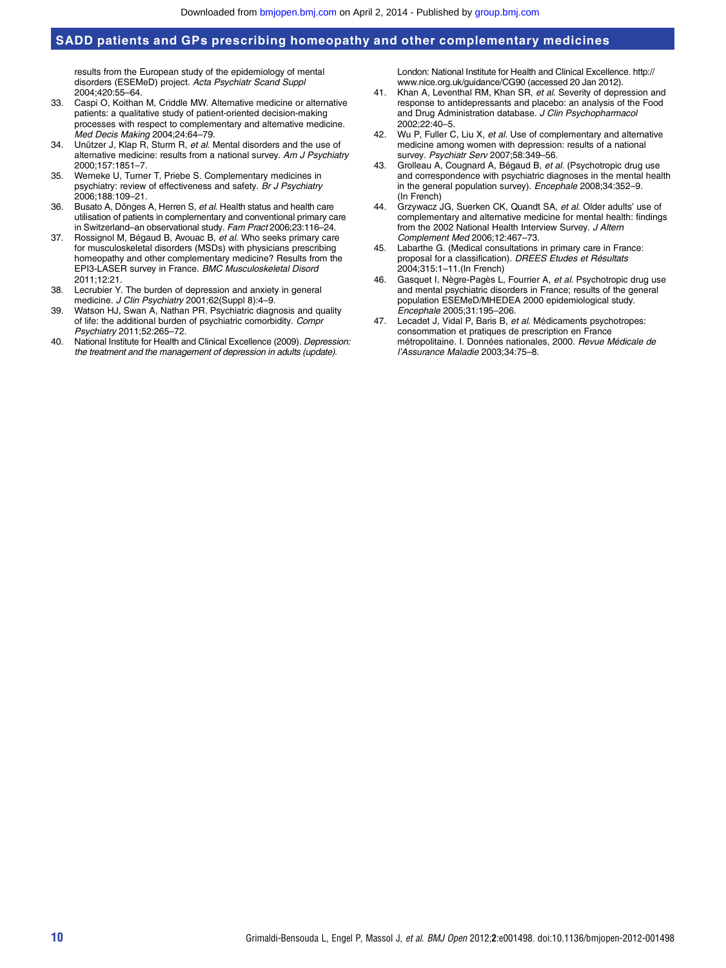results from the European study of the epidemiology of mental disorders (ESEMeD) project. Acta Psychiatr Scand Suppl 2004;420:55–64.

- 33. Caspi O, Koithan M, Criddle MW. Alternative medicine or alternative patients: a qualitative study of patient-oriented decision-making processes with respect to complementary and alternative medicine. Med Decis Making 2004;24:64–79.
- 34. Unützer J, Klap R, Sturm R, et al. Mental disorders and the use of alternative medicine: results from a national survey. Am J Psychiatry 2000;157:1851–7.
- 35. Werneke U, Turner T, Priebe S. Complementary medicines in psychiatry: review of effectiveness and safety. Br J Psychiatry 2006;188:109–21.
- 36. Busato A, Dönges A, Herren S, et al. Health status and health care utilisation of patients in complementary and conventional primary care in Switzerland–an observational study. Fam Pract 2006;23:116–24.
- 37. Rossignol M, Bégaud B, Avouac B, et al. Who seeks primary care for musculoskeletal disorders (MSDs) with physicians prescribing homeopathy and other complementary medicine? Results from the EPI3-LASER survey in France. BMC Musculoskeletal Disord 2011;12:21.
- 38. Lecrubier Y. The burden of depression and anxiety in general medicine. J Clin Psychiatry 2001;62(Suppl 8):4–9.
- 39. Watson HJ, Swan A, Nathan PR. Psychiatric diagnosis and quality of life: the additional burden of psychiatric comorbidity. Compr Psychiatry 2011;52:265–72.
- 40. National Institute for Health and Clinical Excellence (2009). Depression: the treatment and the management of depression in adults (update).

London: National Institute for Health and Clinical Excellence. [http://](http://www.nice.org.uk/guidance/CG90) [www.nice.org.uk/guidance/CG90](http://www.nice.org.uk/guidance/CG90) (accessed 20 Jan 2012).

- 41. Khan A, Leventhal RM, Khan SR, et al. Severity of depression and response to antidepressants and placebo: an analysis of the Food and Drug Administration database. J Clin Psychopharmacol 2002;22:40–5.
- 42. Wu P, Fuller C, Liu X, et al. Use of complementary and alternative medicine among women with depression: results of a national survey. Psychiatr Serv 2007;58:349–56.
- 43. Grolleau A, Cougnard A, Bégaud B, et al. (Psychotropic drug use and correspondence with psychiatric diagnoses in the mental health in the general population survey). Encephale 2008;34:352–9. (In French)
- 44. Grzywacz JG, Suerken CK, Quandt SA, et al. Older adults' use of complementary and alternative medicine for mental health: findings from the 2002 National Health Interview Survey. J Altern Complement Med 2006;12:467–73.
- 45. Labarthe G. (Medical consultations in primary care in France: proposal for a classification). DREES Etudes et Résultats 2004;315:1–11.(In French)
- 46. Gasquet I, Nègre-Pagès L, Fourrier A, et al. Psychotropic drug use and mental psychiatric disorders in France; results of the general population ESEMeD/MHEDEA 2000 epidemiological study. Encephale 2005;31:195–206.
- 47. Lecadet J, Vidal P, Baris B, et al. Médicaments psychotropes: consommation et pratiques de prescription en France métropolitaine. I. Données nationales, 2000. Revue Médicale de l'Assurance Maladie 2003;34:75–8.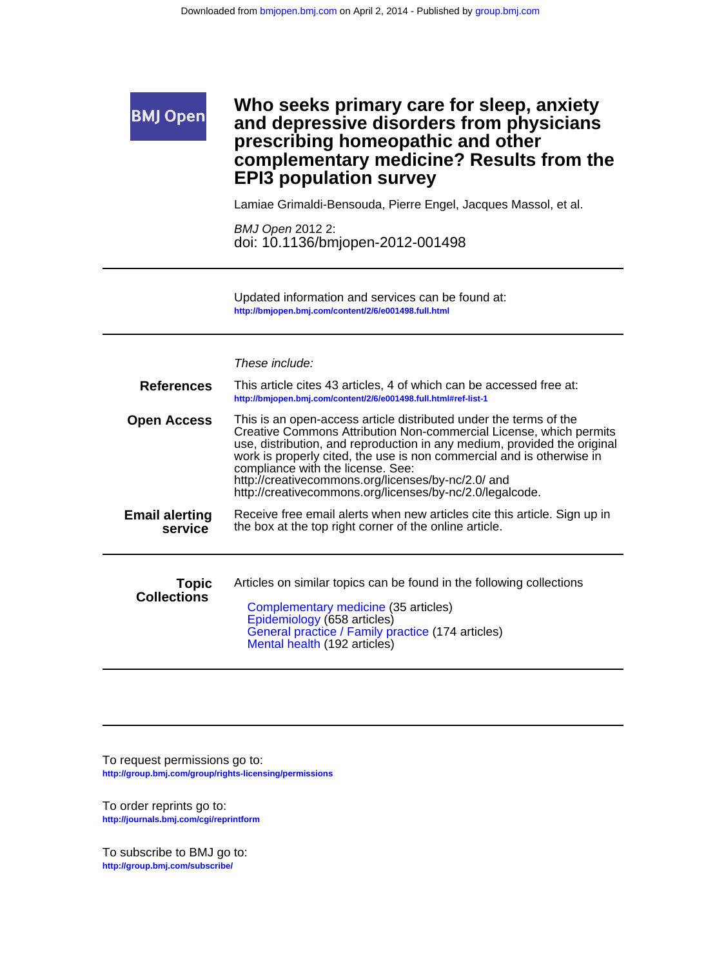# **EPI3 population survey complementary medicine? Results from the prescribing homeopathic and other and depressive disorders from physicians Who seeks primary care for sleep, anxiety**

Lamiae Grimaldi-Bensouda, Pierre Engel, Ja[cques Massol, et al.](http://bmjopen.bmj.com/cgi/collection/bmj_open_complementary_medicine)

doi: 10.1136/bmjopen-2012-001498 BMJ Open 2012 2:

**<http://bmjopen.bmj.com/content/2/6/e001498.full.html>** Updated information and services can be found at:

|                                    | These include:                                                                                                                                                                                                                                                                                                                                                                                                                                      |
|------------------------------------|-----------------------------------------------------------------------------------------------------------------------------------------------------------------------------------------------------------------------------------------------------------------------------------------------------------------------------------------------------------------------------------------------------------------------------------------------------|
| <b>References</b>                  | This article cites 43 articles, 4 of which can be accessed free at:<br>http://bmjopen.bmj.com/content/2/6/e001498.full.html#ref-list-1                                                                                                                                                                                                                                                                                                              |
| <b>Open Access</b>                 | This is an open-access article distributed under the terms of the<br>Creative Commons Attribution Non-commercial License, which permits<br>use, distribution, and reproduction in any medium, provided the original<br>work is properly cited, the use is non commercial and is otherwise in<br>compliance with the license. See:<br>http://creativecommons.org/licenses/by-nc/2.0/ and<br>http://creativecommons.org/licenses/by-nc/2.0/legalcode. |
| <b>Email alerting</b><br>service   | Receive free email alerts when new articles cite this article. Sign up in<br>the box at the top right corner of the online article.                                                                                                                                                                                                                                                                                                                 |
| <b>Topic</b><br><b>Collections</b> | Articles on similar topics can be found in the following collections<br>Complementary medicine (35 articles)<br>Epidemiology (658 articles)<br>General practice / Family practice (174 articles)<br>Mental health (192 articles)                                                                                                                                                                                                                    |

**<http://group.bmj.com/group/rights-licensing/permissions>** To request permissions go to:

**<http://journals.bmj.com/cgi/reprintform>** To order reprints go to:

**BMJ Open** 

**<http://group.bmj.com/subscribe/>** To subscribe to BMJ go to: